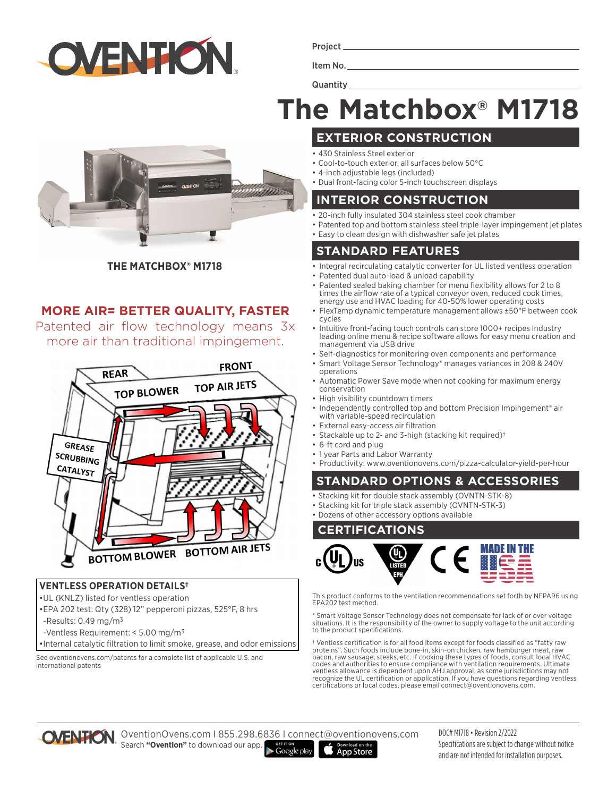

Project

Item No. **Quantity** 

# **The Matchbox® M1718**

**THE MATCHBOX® M1718**

# **MORE AIR= BETTER QUALITY, FASTER**

Patented air flow technology means 3x more air than traditional impingement.



#### **VENTLESS OPERATION DETAILS†**

- •UL (KNLZ) listed for ventless operation
- •EPA 202 test: Qty (328) 12" pepperoni pizzas, 525°F, 8 hrs
- -Results:  $0.49$  mg/m<sup>3</sup>
- -Ventless Requirement: < 5.00 mg/m3
- •Internal catalytic filtration to limit smoke, grease, and odor emissions

See oventionovens.com/patents for a complete list of applicable U.S. and international patents

- **EXTERIOR CONSTRUCTION**
- 430 Stainless Steel exterior
- Cool-to-touch exterior, all surfaces below 50°C
- 4-inch adjustable legs (included)
- Dual front-facing color 5-inch touchscreen displays

## **INTERIOR CONSTRUCTION**

- 20-inch fully insulated 304 stainless steel cook chamber
- Patented top and bottom stainless steel triple-layer impingement jet plates
- Easy to clean design with dishwasher safe jet plates

# **STANDARD FEATURES**

- Integral recirculating catalytic converter for UL listed ventless operation Patented dual auto-load & unload capability
- Patented sealed baking chamber for menu flexibility allows for 2 to 8 times the airflow rate of a typical conveyor oven, reduced cook times, energy use and HVAC loading for 40-50% lower operating costs
- FlexTemp dynamic temperature management allows ±50°F between cook cycles
- Intuitive front-facing touch controls can store 1000+ recipes Industry leading online menu & recipe software allows for easy menu creation and management via USB drive
- Self-diagnostics for monitoring oven components and performance
- Smart Voltage Sensor Technology\* manages variances in 208 & 240V operations
- Automatic Power Save mode when not cooking for maximum energy conservation
- High visibility countdown timers
- Independently controlled top and bottom Precision Impingement<sup>®</sup> air with variable-speed recirculation
- External easy-access air filtration
- Stackable up to 2- and 3-high (stacking kit required)†
- 6-ft cord and plug
- 1 year Parts and Labor Warranty
- Productivity: www.oventionovens.com/pizza-calculator-yield-per-hour

### **STANDARD OPTIONS & ACCESSORIES**

- Stacking kit for double stack assembly (OVNTN-STK-8)
- Stacking kit for triple stack assembly (OVNTN-STK-3)

• Dozens of other accessory options available

### **CERTIFICATIONS**



This product conforms to the ventilation recommendations set forth by NFPA96 using EPA202 test method.

\* Smart Voltage Sensor Technology does not compensate for lack of or over voltage situations. It is the responsibility of the owner to supply voltage to the unit according to the product specifications.

† Ventless certification is for all food items except for foods classified as "fatty raw proteins". Such foods include bone-in, skin-on chicken, raw hamburger meat, raw<br>bacon, raw sausage, steaks, etc. If cooking these types of foods, consult local HVAC<br>codes and authorities to ensure compliance with ventilati ventless allowance is dependent upon AHJ approval, as some jurisdictions may not recognize the UL certification or application. If you have questions regarding ventless certifications or local codes, please email connect@oventionovens.com.



OventionOvens.com I 855.298.6836 I connect@oventionovens.com Search **"Ovention"** to download our app.  $\blacktriangleright$  Google play

**App Store** 

DOC# M1718 • Revision 2/2022 Specifications are subject to change without notice and are not intended for installation purposes.